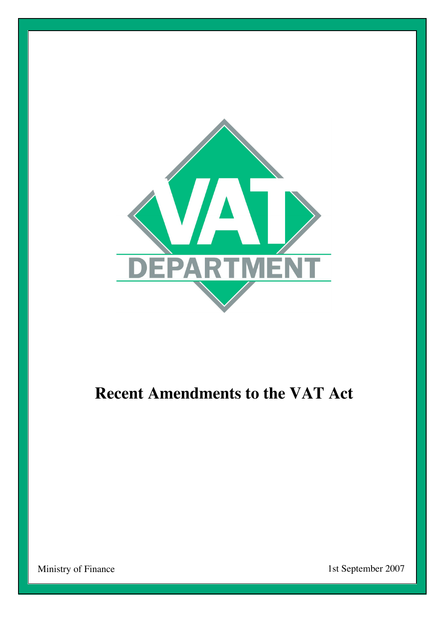

# **Recent Amendments to the VAT Act**

Ministry of Finance 1st September 2007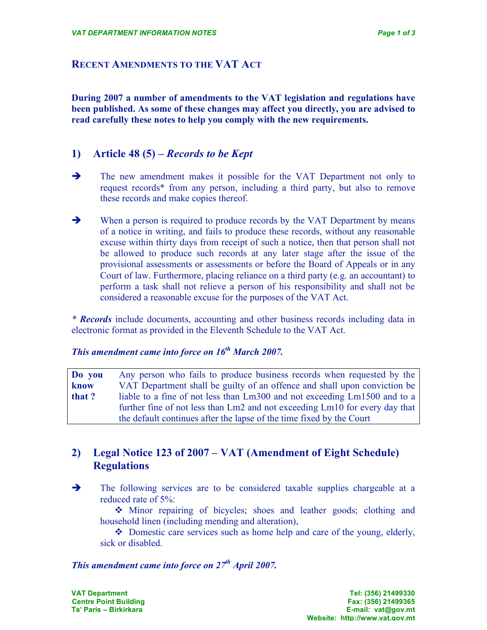#### **RECENT AMENDMENTS TO THE VAT ACT**

**During 2007 a number of amendments to the VAT legislation and regulations have been published. As some of these changes may affect you directly, you are advised to read carefully these notes to help you comply with the new requirements.**

#### **1) Article 48 (5) –** *Records to be Kept*

- The new amendment makes it possible for the VAT Department not only to request records\* from any person, including a third party, but also to remove these records and make copies thereof.
- When a person is required to produce records by the VAT Department by means of a notice in writing, and fails to produce these records, without any reasonable excuse within thirty days from receipt of such a notice, then that person shall not be allowed to produce such records at any later stage after the issue of the provisional assessments or assessments or before the Board of Appeals or in any Court of law. Furthermore, placing reliance on a third party (e.g. an accountant) to perform a task shall not relieve a person of his responsibility and shall not be considered a reasonable excuse for the purposes of the VAT Act.

*\* Records* include documents, accounting and other business records including data in electronic format as provided in the Eleventh Schedule to the VAT Act.

# *This amendment came into force on 16th March 2007.*

| Do you | Any person who fails to produce business records when requested by the      |
|--------|-----------------------------------------------------------------------------|
| know   | VAT Department shall be guilty of an offence and shall upon conviction be   |
| that ? | liable to a fine of not less than Lm300 and not exceeding Lm1500 and to a   |
|        | further fine of not less than Lm2 and not exceeding Lm10 for every day that |
|        | the default continues after the lapse of the time fixed by the Court        |

### **2) Legal Notice 123 of 2007 – VAT (Amendment of Eight Schedule) Regulations**

The following services are to be considered taxable supplies chargeable at a reduced rate of 5%:

 Minor repairing of bicycles; shoes and leather goods; clothing and household linen (including mending and alteration),

• Domestic care services such as home help and care of the young, elderly, sick or disabled.

# *This amendment came into force on 27th April 2007.*

 $Ta'$  **Paris – Birkirkara**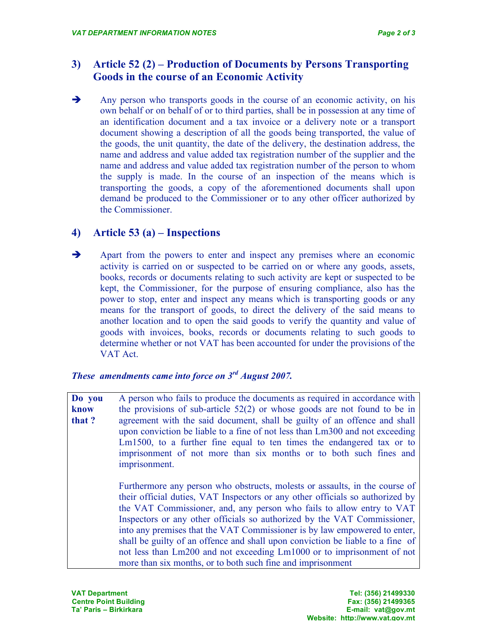## **3) Article 52 (2) – Production of Documents by Persons Transporting Goods in the course of an Economic Activity**

Any person who transports goods in the course of an economic activity, on his own behalf or on behalf of or to third parties, shall be in possession at any time of an identification document and a tax invoice or a delivery note or a transport document showing a description of all the goods being transported, the value of the goods, the unit quantity, the date of the delivery, the destination address, the name and address and value added tax registration number of the supplier and the name and address and value added tax registration number of the person to whom the supply is made. In the course of an inspection of the means which is transporting the goods, a copy of the aforementioned documents shall upon demand be produced to the Commissioner or to any other officer authorized by the Commissioner.

### **4) Article 53 (a) – Inspections**

Apart from the powers to enter and inspect any premises where an economic activity is carried on or suspected to be carried on or where any goods, assets, books, records or documents relating to such activity are kept or suspected to be kept, the Commissioner, for the purpose of ensuring compliance, also has the power to stop, enter and inspect any means which is transporting goods or any means for the transport of goods, to direct the delivery of the said means to another location and to open the said goods to verify the quantity and value of goods with invoices, books, records or documents relating to such goods to determine whether or not VAT has been accounted for under the provisions of the VAT Act.

*These amendments came into force on 3rd August 2007.*

**Do you know that ?** A person who fails to produce the documents as required in accordance with the provisions of sub-article 52(2) or whose goods are not found to be in agreement with the said document, shall be guilty of an offence and shall upon conviction be liable to a fine of not less than Lm300 and not exceeding Lm1500, to a further fine equal to ten times the endangered tax or to imprisonment of not more than six months or to both such fines and imprisonment.

> Furthermore any person who obstructs, molests or assaults, in the course of their official duties, VAT Inspectors or any other officials so authorized by the VAT Commissioner, and, any person who fails to allow entry to VAT Inspectors or any other officials so authorized by the VAT Commissioner, into any premises that the VAT Commissioner is by law empowered to enter, shall be guilty of an offence and shall upon conviction be liable to a fine of not less than Lm200 and not exceeding Lm1000 or to imprisonment of not more than six months, or to both such fine and imprisonment